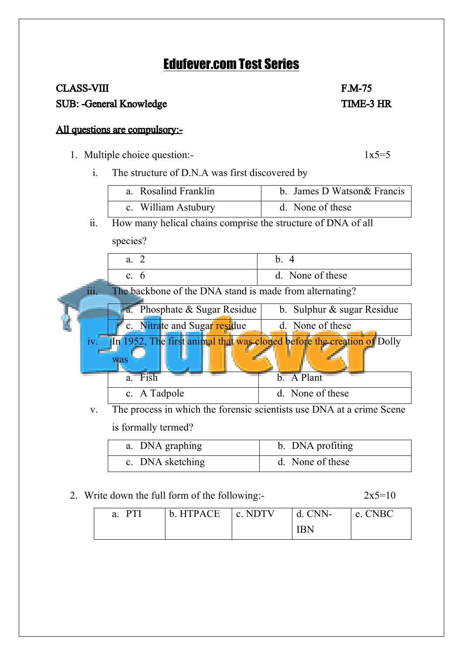## Edufever.com Test Series

# CLASS-VIII F.M-75

SUB: -General Knowledge TIME-3 HR

### All questions are compulsory:-

1. Multiple choice question:-  $1x5=5$ 

i. The structure of D.N.A was first discovered by

| a. Rosalind Franklin | b. James D Watson & Francis |
|----------------------|-----------------------------|
| c. William Astubury  | d. None of these            |

ii. How many helical chains comprise the structure of DNA of all

species?

|      | a. 2                                                                          | b. 4                                                                  |
|------|-------------------------------------------------------------------------------|-----------------------------------------------------------------------|
|      | c. $6$                                                                        | d. None of these                                                      |
| 111. | The backbone of the DNA stand is made from alternating?                       |                                                                       |
|      | a. Phosphate $&$ Sugar Residue                                                | b. Sulphur $\&$ sugar Residue                                         |
|      | c. Nitrate and Sugar residue                                                  | d. None of these                                                      |
| iv.  | In 1952, The first animal that was cloned before the creation of Dolly<br>was |                                                                       |
|      | a. Fish                                                                       | b. A Plant                                                            |
|      | c. A Tadpole                                                                  | d. None of these                                                      |
| V.   |                                                                               | The process in which the forensic scientists use DNA at a crime Scene |

is formally termed?

| a. DNA graphing  | b. DNA profiting |
|------------------|------------------|
| c. DNA sketching | d. None of these |

#### 2. Write down the full form of the following:-  $2x5=10$

| a. PTI | $\vert$ b. HTPACE $\vert$ c. NDTV | $\perp$ d. CNN- | e. CNBC |
|--------|-----------------------------------|-----------------|---------|
|        |                                   | IRN             |         |